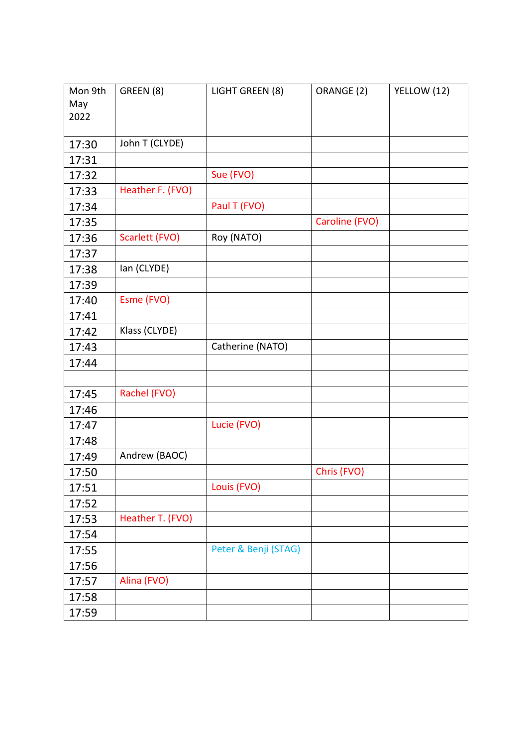| Mon 9th | GREEN (8)        | LIGHT GREEN (8)      | ORANGE (2)     | YELLOW (12) |
|---------|------------------|----------------------|----------------|-------------|
| May     |                  |                      |                |             |
| 2022    |                  |                      |                |             |
|         |                  |                      |                |             |
| 17:30   | John T (CLYDE)   |                      |                |             |
| 17:31   |                  |                      |                |             |
| 17:32   |                  | Sue (FVO)            |                |             |
| 17:33   | Heather F. (FVO) |                      |                |             |
| 17:34   |                  | Paul T (FVO)         |                |             |
| 17:35   |                  |                      | Caroline (FVO) |             |
| 17:36   | Scarlett (FVO)   | Roy (NATO)           |                |             |
| 17:37   |                  |                      |                |             |
| 17:38   | lan (CLYDE)      |                      |                |             |
| 17:39   |                  |                      |                |             |
| 17:40   | Esme (FVO)       |                      |                |             |
| 17:41   |                  |                      |                |             |
| 17:42   | Klass (CLYDE)    |                      |                |             |
| 17:43   |                  | Catherine (NATO)     |                |             |
| 17:44   |                  |                      |                |             |
|         |                  |                      |                |             |
| 17:45   | Rachel (FVO)     |                      |                |             |
| 17:46   |                  |                      |                |             |
| 17:47   |                  | Lucie (FVO)          |                |             |
| 17:48   |                  |                      |                |             |
| 17:49   | Andrew (BAOC)    |                      |                |             |
| 17:50   |                  |                      | Chris (FVO)    |             |
| 17:51   |                  | Louis (FVO)          |                |             |
| 17:52   |                  |                      |                |             |
| 17:53   | Heather T. (FVO) |                      |                |             |
| 17:54   |                  |                      |                |             |
| 17:55   |                  | Peter & Benji (STAG) |                |             |
| 17:56   |                  |                      |                |             |
| 17:57   | Alina (FVO)      |                      |                |             |
| 17:58   |                  |                      |                |             |
| 17:59   |                  |                      |                |             |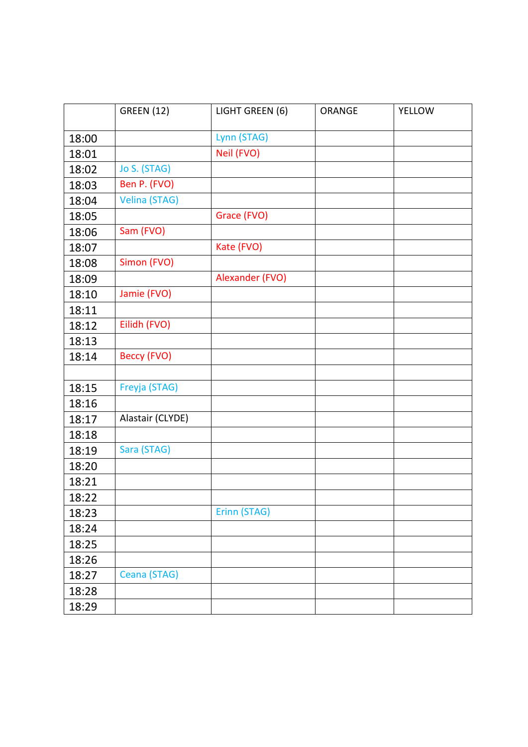|       | <b>GREEN (12)</b>    | LIGHT GREEN (6) | ORANGE | <b>YELLOW</b> |
|-------|----------------------|-----------------|--------|---------------|
| 18:00 |                      | Lynn (STAG)     |        |               |
| 18:01 |                      | Neil (FVO)      |        |               |
| 18:02 | Jo S. (STAG)         |                 |        |               |
| 18:03 | Ben P. (FVO)         |                 |        |               |
| 18:04 | <b>Velina (STAG)</b> |                 |        |               |
| 18:05 |                      | Grace (FVO)     |        |               |
| 18:06 | Sam (FVO)            |                 |        |               |
| 18:07 |                      | Kate (FVO)      |        |               |
| 18:08 | Simon (FVO)          |                 |        |               |
| 18:09 |                      | Alexander (FVO) |        |               |
| 18:10 | Jamie (FVO)          |                 |        |               |
| 18:11 |                      |                 |        |               |
| 18:12 | Eilidh (FVO)         |                 |        |               |
| 18:13 |                      |                 |        |               |
| 18:14 | <b>Beccy (FVO)</b>   |                 |        |               |
|       |                      |                 |        |               |
| 18:15 | Freyja (STAG)        |                 |        |               |
| 18:16 |                      |                 |        |               |
| 18:17 | Alastair (CLYDE)     |                 |        |               |
| 18:18 |                      |                 |        |               |
| 18:19 | Sara (STAG)          |                 |        |               |
| 18:20 |                      |                 |        |               |
| 18:21 |                      |                 |        |               |
| 18:22 |                      |                 |        |               |
| 18:23 |                      | Erinn (STAG)    |        |               |
| 18:24 |                      |                 |        |               |
| 18:25 |                      |                 |        |               |
| 18:26 |                      |                 |        |               |
| 18:27 | Ceana (STAG)         |                 |        |               |
| 18:28 |                      |                 |        |               |
| 18:29 |                      |                 |        |               |